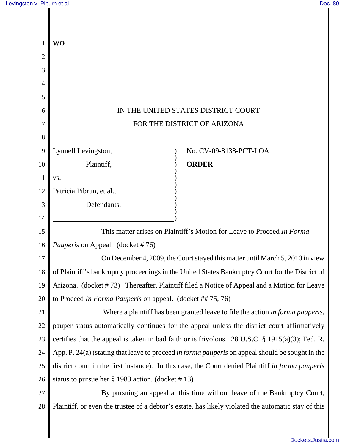$\parallel$ 

| Levingston v. Piburn et al |                                                                                                         |                                                                                                     | Doc. 80 |
|----------------------------|---------------------------------------------------------------------------------------------------------|-----------------------------------------------------------------------------------------------------|---------|
|                            |                                                                                                         |                                                                                                     |         |
|                            |                                                                                                         |                                                                                                     |         |
| $\mathbf{1}$               | <b>WO</b>                                                                                               |                                                                                                     |         |
| 2                          |                                                                                                         |                                                                                                     |         |
| 3                          |                                                                                                         |                                                                                                     |         |
| 4                          |                                                                                                         |                                                                                                     |         |
| 5                          |                                                                                                         |                                                                                                     |         |
| 6                          | IN THE UNITED STATES DISTRICT COURT                                                                     |                                                                                                     |         |
| 7                          | FOR THE DISTRICT OF ARIZONA                                                                             |                                                                                                     |         |
| 8                          |                                                                                                         |                                                                                                     |         |
| 9                          | Lynnell Levingston,                                                                                     | No. CV-09-8138-PCT-LOA                                                                              |         |
| 10                         | Plaintiff,                                                                                              | <b>ORDER</b>                                                                                        |         |
| 11                         | VS.                                                                                                     |                                                                                                     |         |
| 12                         | Patricia Pibrun, et al.,                                                                                |                                                                                                     |         |
| 13                         | Defendants.                                                                                             |                                                                                                     |         |
| 14                         |                                                                                                         |                                                                                                     |         |
| 15                         | This matter arises on Plaintiff's Motion for Leave to Proceed In Forma                                  |                                                                                                     |         |
| 16                         | <i>Pauperis</i> on Appeal. (docket #76)                                                                 |                                                                                                     |         |
| 17                         | On December 4, 2009, the Court stayed this matter until March 5, 2010 in view                           |                                                                                                     |         |
| 18                         | of Plaintiff's bankruptcy proceedings in the United States Bankruptcy Court for the District of         |                                                                                                     |         |
| 19                         | Arizona. (docket #73) Thereafter, Plaintiff filed a Notice of Appeal and a Motion for Leave             |                                                                                                     |         |
| 20                         | to Proceed In Forma Pauperis on appeal. (docket ## 75, 76)                                              |                                                                                                     |         |
| 21                         | Where a plaintiff has been granted leave to file the action in forma pauperis,                          |                                                                                                     |         |
| 22                         | pauper status automatically continues for the appeal unless the district court affirmatively            |                                                                                                     |         |
| 23                         |                                                                                                         | certifies that the appeal is taken in bad faith or is frivolous. 28 U.S.C. § 1915(a)(3); Fed. R.    |         |
| 24                         | App. P. 24(a) (stating that leave to proceed <i>in forma pauperis</i> on appeal should be sought in the |                                                                                                     |         |
| 25                         | district court in the first instance). In this case, the Court denied Plaintiff in forma pauperis       |                                                                                                     |         |
| 26                         | status to pursue her § 1983 action. (docket #13)                                                        |                                                                                                     |         |
| 27                         | By pursuing an appeal at this time without leave of the Bankruptcy Court,                               |                                                                                                     |         |
| 28                         |                                                                                                         | Plaintiff, or even the trustee of a debtor's estate, has likely violated the automatic stay of this |         |
|                            |                                                                                                         |                                                                                                     |         |